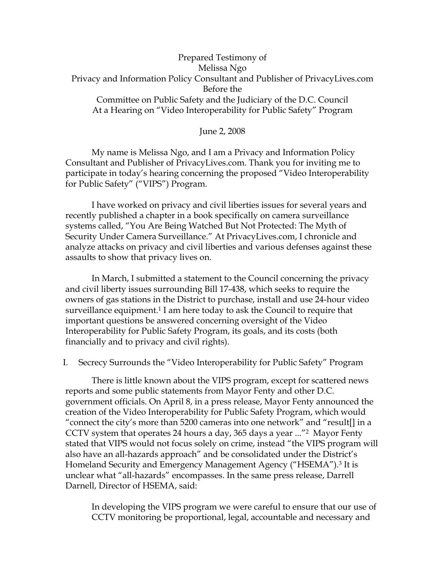# Prepared Testimony of Melissa Ngo Privacy and Information Policy Consultant and Publisher of PrivacyLives.com Before the Committee on Public Safety and the Judiciary of the D.C. Council At a Hearing on "Video Interoperability for Public Safety" Program

#### June 2, 2008

My name is Melissa Ngo, and I am a Privacy and Information Policy Consultant and Publisher of PrivacyLives.com. Thank you for inviting me to participate in today's hearing concerning the proposed "Video Interoperability for Public Safety" ("VIPS") Program.

I have worked on privacy and civil liberties issues for several years and recently published a chapter in a book specifically on camera surveillance systems called, "You Are Being Watched But Not Protected: The Myth of Security Under Camera Surveillance." At PrivacyLives.com, I chronicle and analyze attacks on privacy and civil liberties and various defenses against these assaults to show that privacy lives on.

In March, I submitted a statement to the Council concerning the privacy and civil liberty issues surrounding Bill 17-438, which seeks to require the owners of gas stations in the District to purchase, install and use 24-hour video surveillance equipment.<sup>1</sup> I am here today to ask the Council to require that important questions be answered concerning oversight of the Video Interoperability for Public Safety Program, its goals, and its costs (both financially and to privacy and civil rights).

I. Secrecy Surrounds the "Video Interoperability for Public Safety" Program

There is little known about the VIPS program, except for scattered news reports and some public statements from Mayor Fenty and other D.C. government officials. On April 8, in a press release, Mayor Fenty announced the creation of the Video Interoperability for Public Safety Program, which would "connect the city's more than 5200 cameras into one network" and "result[] in a CCTV system that operates 24 hours a day, 365 days a year ..."2 Mayor Fenty stated that VIPS would not focus solely on crime, instead "the VIPS program will also have an all-hazards approach" and be consolidated under the District's Homeland Security and Emergency Management Agency ("HSEMA").3 It is unclear what "all-hazards" encompasses. In the same press release, Darrell Darnell, Director of HSEMA, said:

In developing the VIPS program we were careful to ensure that our use of CCTV monitoring be proportional, legal, accountable and necessary and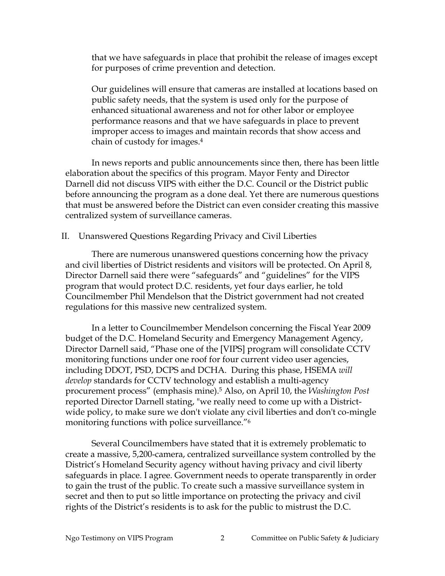that we have safeguards in place that prohibit the release of images except for purposes of crime prevention and detection.

Our guidelines will ensure that cameras are installed at locations based on public safety needs, that the system is used only for the purpose of enhanced situational awareness and not for other labor or employee performance reasons and that we have safeguards in place to prevent improper access to images and maintain records that show access and chain of custody for images.4

In news reports and public announcements since then, there has been little elaboration about the specifics of this program. Mayor Fenty and Director Darnell did not discuss VIPS with either the D.C. Council or the District public before announcing the program as a done deal. Yet there are numerous questions that must be answered before the District can even consider creating this massive centralized system of surveillance cameras.

### II. Unanswered Questions Regarding Privacy and Civil Liberties

There are numerous unanswered questions concerning how the privacy and civil liberties of District residents and visitors will be protected. On April 8, Director Darnell said there were "safeguards" and "guidelines" for the VIPS program that would protect D.C. residents, yet four days earlier, he told Councilmember Phil Mendelson that the District government had not created regulations for this massive new centralized system.

In a letter to Councilmember Mendelson concerning the Fiscal Year 2009 budget of the D.C. Homeland Security and Emergency Management Agency, Director Darnell said, "Phase one of the [VIPS] program will consolidate CCTV monitoring functions under one roof for four current video user agencies, including DDOT, PSD, DCPS and DCHA. During this phase, HSEMA *will develop* standards for CCTV technology and establish a multi-agency procurement process" (emphasis mine).5 Also, on April 10, the *Washington Post*  reported Director Darnell stating, "we really need to come up with a Districtwide policy, to make sure we don't violate any civil liberties and don't co-mingle monitoring functions with police surveillance."6

Several Councilmembers have stated that it is extremely problematic to create a massive, 5,200-camera, centralized surveillance system controlled by the District's Homeland Security agency without having privacy and civil liberty safeguards in place. I agree. Government needs to operate transparently in order to gain the trust of the public. To create such a massive surveillance system in secret and then to put so little importance on protecting the privacy and civil rights of the District's residents is to ask for the public to mistrust the D.C.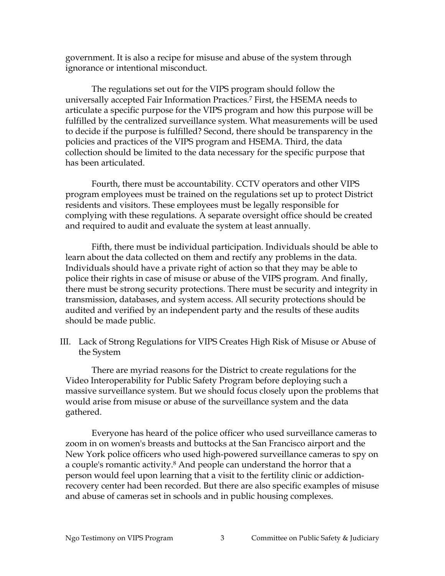government. It is also a recipe for misuse and abuse of the system through ignorance or intentional misconduct.

The regulations set out for the VIPS program should follow the universally accepted Fair Information Practices.7 First, the HSEMA needs to articulate a specific purpose for the VIPS program and how this purpose will be fulfilled by the centralized surveillance system. What measurements will be used to decide if the purpose is fulfilled? Second, there should be transparency in the policies and practices of the VIPS program and HSEMA. Third, the data collection should be limited to the data necessary for the specific purpose that has been articulated.

Fourth, there must be accountability. CCTV operators and other VIPS program employees must be trained on the regulations set up to protect District residents and visitors. These employees must be legally responsible for complying with these regulations. A separate oversight office should be created and required to audit and evaluate the system at least annually.

Fifth, there must be individual participation. Individuals should be able to learn about the data collected on them and rectify any problems in the data. Individuals should have a private right of action so that they may be able to police their rights in case of misuse or abuse of the VIPS program. And finally, there must be strong security protections. There must be security and integrity in transmission, databases, and system access. All security protections should be audited and verified by an independent party and the results of these audits should be made public.

III. Lack of Strong Regulations for VIPS Creates High Risk of Misuse or Abuse of the System

There are myriad reasons for the District to create regulations for the Video Interoperability for Public Safety Program before deploying such a massive surveillance system. But we should focus closely upon the problems that would arise from misuse or abuse of the surveillance system and the data gathered.

Everyone has heard of the police officer who used surveillance cameras to zoom in on women's breasts and buttocks at the San Francisco airport and the New York police officers who used high-powered surveillance cameras to spy on a couple's romantic activity.<sup>8</sup> And people can understand the horror that a person would feel upon learning that a visit to the fertility clinic or addictionrecovery center had been recorded. But there are also specific examples of misuse and abuse of cameras set in schools and in public housing complexes.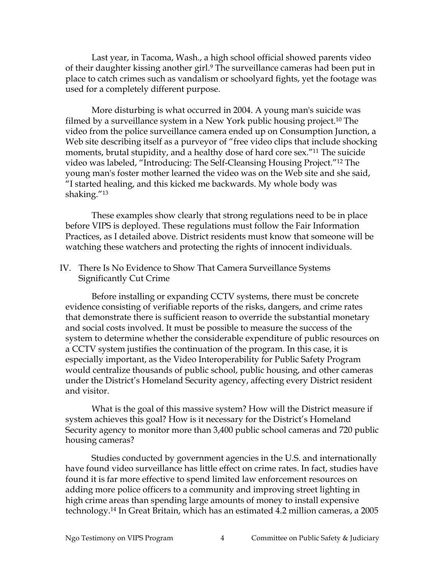Last year, in Tacoma, Wash., a high school official showed parents video of their daughter kissing another girl.<sup>9</sup> The surveillance cameras had been put in place to catch crimes such as vandalism or schoolyard fights, yet the footage was used for a completely different purpose.

More disturbing is what occurred in 2004. A young man's suicide was filmed by a surveillance system in a New York public housing project.<sup>10</sup> The video from the police surveillance camera ended up on Consumption Junction, a Web site describing itself as a purveyor of "free video clips that include shocking moments, brutal stupidity, and a healthy dose of hard core sex."11 The suicide video was labeled, "Introducing: The Self-Cleansing Housing Project."12 The young man's foster mother learned the video was on the Web site and she said, "I started healing, and this kicked me backwards. My whole body was shaking."13

These examples show clearly that strong regulations need to be in place before VIPS is deployed. These regulations must follow the Fair Information Practices, as I detailed above. District residents must know that someone will be watching these watchers and protecting the rights of innocent individuals.

IV. There Is No Evidence to Show That Camera Surveillance Systems Significantly Cut Crime

Before installing or expanding CCTV systems, there must be concrete evidence consisting of verifiable reports of the risks, dangers, and crime rates that demonstrate there is sufficient reason to override the substantial monetary and social costs involved. It must be possible to measure the success of the system to determine whether the considerable expenditure of public resources on a CCTV system justifies the continuation of the program. In this case, it is especially important, as the Video Interoperability for Public Safety Program would centralize thousands of public school, public housing, and other cameras under the District's Homeland Security agency, affecting every District resident and visitor.

What is the goal of this massive system? How will the District measure if system achieves this goal? How is it necessary for the District's Homeland Security agency to monitor more than 3,400 public school cameras and 720 public housing cameras?

Studies conducted by government agencies in the U.S. and internationally have found video surveillance has little effect on crime rates. In fact, studies have found it is far more effective to spend limited law enforcement resources on adding more police officers to a community and improving street lighting in high crime areas than spending large amounts of money to install expensive technology.14 In Great Britain, which has an estimated 4.2 million cameras, a 2005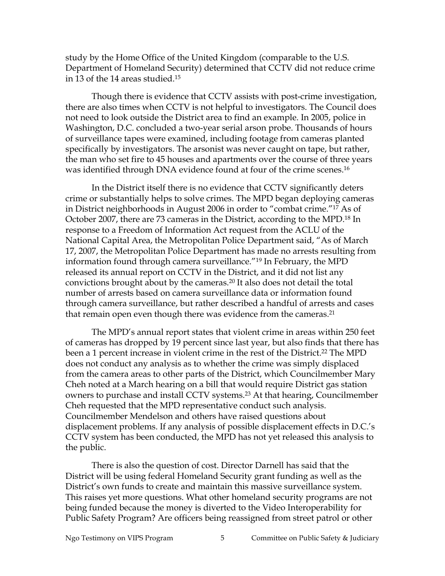study by the Home Office of the United Kingdom (comparable to the U.S. Department of Homeland Security) determined that CCTV did not reduce crime in 13 of the 14 areas studied.15

Though there is evidence that CCTV assists with post-crime investigation, there are also times when CCTV is not helpful to investigators. The Council does not need to look outside the District area to find an example. In 2005, police in Washington, D.C. concluded a two-year serial arson probe. Thousands of hours of surveillance tapes were examined, including footage from cameras planted specifically by investigators. The arsonist was never caught on tape, but rather, the man who set fire to 45 houses and apartments over the course of three years was identified through DNA evidence found at four of the crime scenes.16

In the District itself there is no evidence that CCTV significantly deters crime or substantially helps to solve crimes. The MPD began deploying cameras in District neighborhoods in August 2006 in order to "combat crime."17 As of October 2007, there are 73 cameras in the District, according to the MPD.18 In response to a Freedom of Information Act request from the ACLU of the National Capital Area, the Metropolitan Police Department said, "As of March 17, 2007, the Metropolitan Police Department has made no arrests resulting from information found through camera surveillance."19 In February, the MPD released its annual report on CCTV in the District, and it did not list any convictions brought about by the cameras.20 It also does not detail the total number of arrests based on camera surveillance data or information found through camera surveillance, but rather described a handful of arrests and cases that remain open even though there was evidence from the cameras.<sup>21</sup>

The MPD's annual report states that violent crime in areas within 250 feet of cameras has dropped by 19 percent since last year, but also finds that there has been a 1 percent increase in violent crime in the rest of the District.<sup>22</sup> The MPD does not conduct any analysis as to whether the crime was simply displaced from the camera areas to other parts of the District, which Councilmember Mary Cheh noted at a March hearing on a bill that would require District gas station owners to purchase and install CCTV systems.23 At that hearing, Councilmember Cheh requested that the MPD representative conduct such analysis. Councilmember Mendelson and others have raised questions about displacement problems. If any analysis of possible displacement effects in D.C.'s CCTV system has been conducted, the MPD has not yet released this analysis to the public.

There is also the question of cost. Director Darnell has said that the District will be using federal Homeland Security grant funding as well as the District's own funds to create and maintain this massive surveillance system. This raises yet more questions. What other homeland security programs are not being funded because the money is diverted to the Video Interoperability for Public Safety Program? Are officers being reassigned from street patrol or other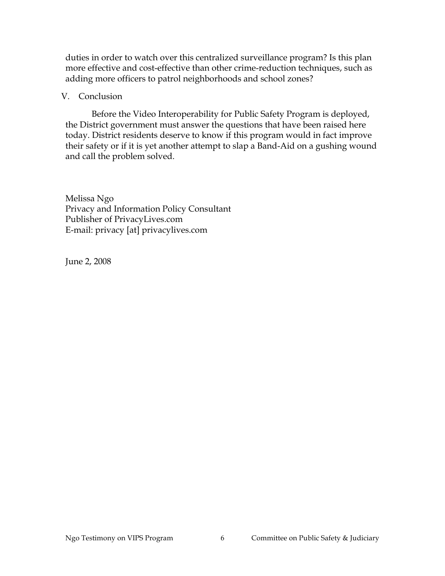duties in order to watch over this centralized surveillance program? Is this plan more effective and cost-effective than other crime-reduction techniques, such as adding more officers to patrol neighborhoods and school zones?

## V. Conclusion

Before the Video Interoperability for Public Safety Program is deployed, the District government must answer the questions that have been raised here today. District residents deserve to know if this program would in fact improve their safety or if it is yet another attempt to slap a Band-Aid on a gushing wound and call the problem solved.

Melissa Ngo Privacy and Information Policy Consultant Publisher of PrivacyLives.com E-mail: privacy [at] privacylives.com

June 2, 2008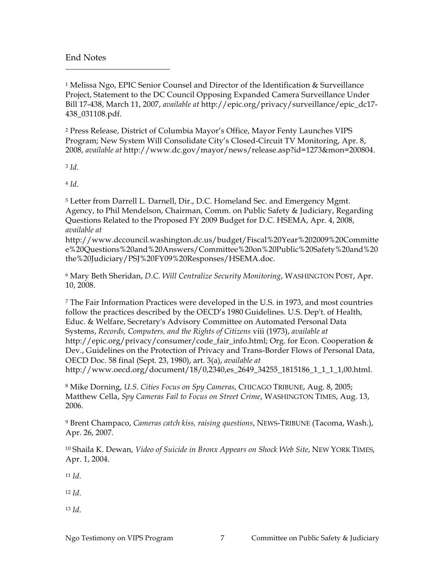#### End Notes

1 Melissa Ngo, EPIC Senior Counsel and Director of the Identification & Surveillance Project, Statement to the DC Council Opposing Expanded Camera Surveillance Under Bill 17-438, March 11, 2007, *available at* http://epic.org/privacy/surveillance/epic\_dc17- 438\_031108.pdf.

2 Press Release, District of Columbia Mayor's Office, Mayor Fenty Launches VIPS Program; New System Will Consolidate City's Closed-Circuit TV Monitoring, Apr. 8, 2008, *available at* http://www.dc.gov/mayor/news/release.asp?id=1273&mon=200804.

<sup>3</sup> *Id*.

<sup>4</sup> *Id*.

5 Letter from Darrell L. Darnell, Dir., D.C. Homeland Sec. and Emergency Mgmt. Agency, to Phil Mendelson, Chairman, Comm. on Public Safety & Judiciary, Regarding Questions Related to the Proposed FY 2009 Budget for D.C. HSEMA, Apr. 4, 2008, *available at*

http://www.dccouncil.washington.dc.us/budget/Fiscal%20Year%202009%20Committe e%20Questions%20and%20Answers/Committee%20on%20Public%20Safety%20and%20 the%20Judiciary/PSJ%20FY09%20Responses/HSEMA.doc.

6 Mary Beth Sheridan, *D.C. Will Centralize Security Monitoring*, WASHINGTON POST, Apr. 10, 2008.

7 The Fair Information Practices were developed in the U.S. in 1973, and most countries follow the practices described by the OECD's 1980 Guidelines. U.S. Dep't. of Health, Educ. & Welfare, Secretary's Advisory Committee on Automated Personal Data Systems, *Records, Computers, and the Rights of Citizens* viii (1973), *available at* http://epic.org/privacy/consumer/code\_fair\_info.html; Org. for Econ. Cooperation & Dev., Guidelines on the Protection of Privacy and Trans-Border Flows of Personal Data, OECD Doc. 58 final (Sept. 23, 1980), art. 3(a), *available at* http://www.oecd.org/document/18/0,2340,es\_2649\_34255\_1815186\_1\_1\_1\_1,00.html.

8 Mike Dorning, *U.S. Cities Focus on Spy Cameras*, CHICAGO TRIBUNE, Aug. 8, 2005; Matthew Cella, *Spy Cameras Fail to Focus on Street Crime*, WASHINGTON TIMES, Aug. 13, 2006.

9 Brent Champaco, *Cameras catch kiss, raising questions*, NEWS-TRIBUNE (Tacoma, Wash.), Apr. 26, 2007.

10 Shaila K. Dewan, *Video of Suicide in Bronx Appears on Shock Web Site*, NEW YORK TIMES, Apr. 1, 2004.

<sup>11</sup> *Id*.

<sup>12</sup> *Id*.

<sup>13</sup> *Id*.